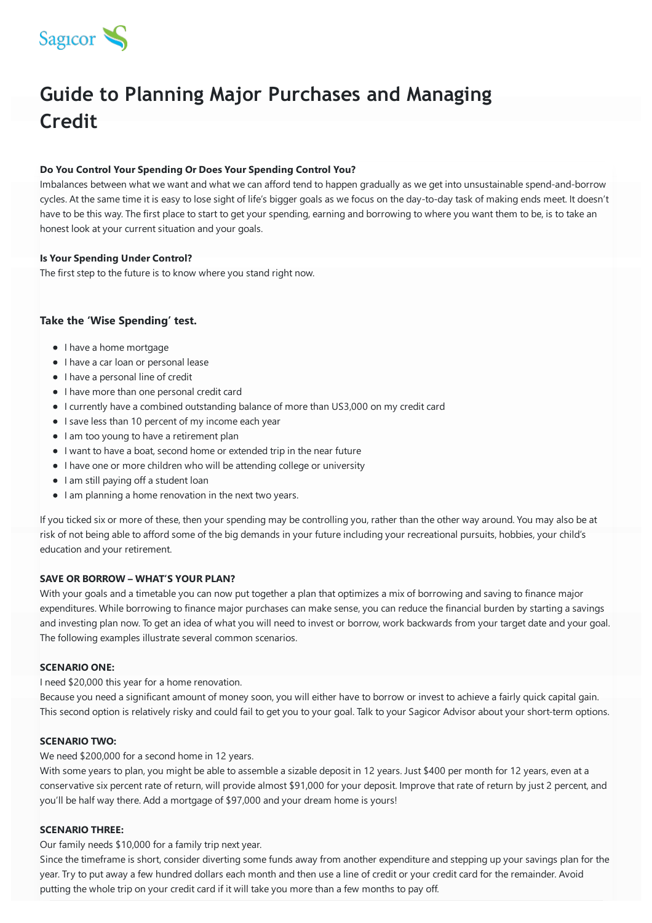

# **Guide to Planning Major Purchases and Managing Credit**

# **Do You Control Your Spending Or Does Your Spending Control You?**

Imbalances between what we want and what we can afford tend to happen gradually as we get into unsustainable spend-and-borrow cycles. At the same time it is easy to lose sight of life's bigger goals as we focus on the day-to-day task of making ends meet. It doesn't have to be this way. The first place to start to get your spending, earning and borrowing to where you want them to be, is to take an honest look at your current situation and your goals.

# **Is Your Spending Under Control?**

The first step to the future is to know where you stand right now.

# **Take the 'Wise Spending' test.**

- I have a home mortgage
- I have a car loan or personal lease
- I have a personal line of credit
- I have more than one personal credit card
- I currently have a combined outstanding balance of more than US3,000 on my credit card
- I save less than 10 percent of my income each year
- I am too young to have a retirement plan
- I want to have a boat, second home or extended trip in the near future
- I have one or more children who will be attending college or university
- I am still paying off a student loan
- I am planning a home renovation in the next two years.

If you ticked six or more of these, then your spending may be controlling you, rather than the other way around. You may also be at risk of not being able to afford some of the big demands in your future including your recreational pursuits, hobbies, your child's education and your retirement.

#### **SAVE OR BORROW – WHAT'S YOUR PLAN?**

With your goals and a timetable you can now put together a plan that optimizes a mix of borrowing and saving to finance major expenditures. While borrowing to finance major purchases can make sense, you can reduce the financial burden by starting a savings and investing plan now. To get an idea of what you will need to invest or borrow, work backwards from your target date and your goal. The following examples illustrate several common scenarios.

# **SCENARIO ONE:**

I need \$20,000 this year for a home renovation.

Because you need a significant amount of money soon, you will either have to borrow or invest to achieve a fairly quick capital gain. This second option is relatively risky and could fail to get you to your goal. Talk to your Sagicor Advisor about your short-term options.

#### **SCENARIO TWO:**

We need \$200,000 for a second home in 12 years.

With some years to plan, you might be able to assemble a sizable deposit in 12 years. Just \$400 per month for 12 years, even at a conservative six percent rate of return, will provide almost \$91,000 for your deposit. Improve that rate of return by just 2 percent, and you'll be half way there. Add a mortgage of \$97,000 and your dream home is yours!

#### **SCENARIO THREE:**

Our family needs \$10,000 for a family trip next year.

Since the timeframe is short, consider diverting some funds away from another expenditure and stepping up your savings plan for the year. Try to put away a few hundred dollars each month and then use a line of credit or your credit card for the remainder. Avoid putting the whole trip on your credit card if it will take you more than a few months to pay off.